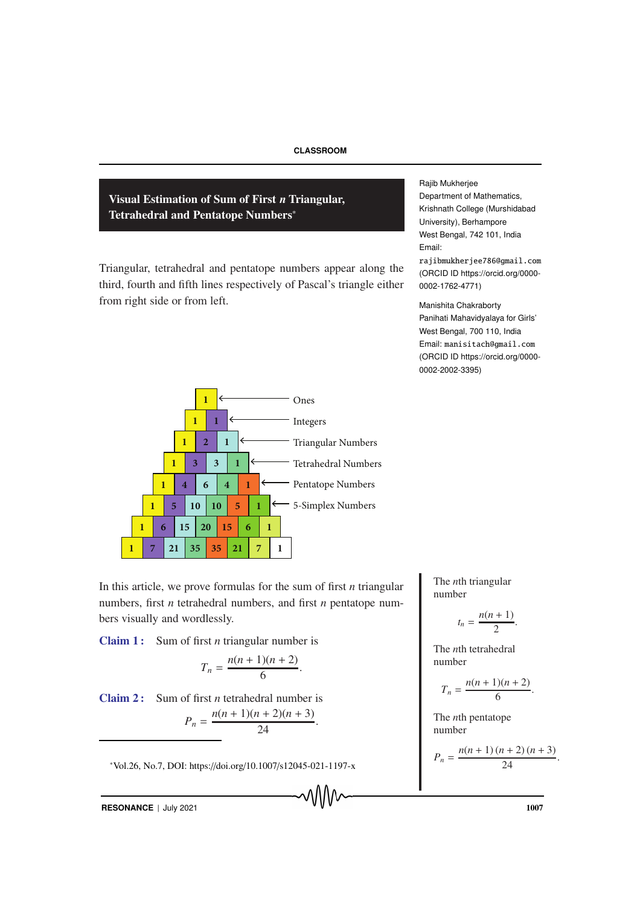Visual Estimation of Sum of First *n* Triangular, Tetrahedral and Pentatope Numbers∗

Triangular, tetrahedral and pentatope numbers appear along the third, fourth and fifth lines respectively of Pascal's triangle either from right side or from left.

Rajib Mukherjee Department of Mathematics, Krishnath College (Murshidabad University), Berhampore West Bengal, 742 101, India Email: rajibmukherjee786@gmail.com (ORCID ID https://orcid.org/0000-

Manishita Chakraborty Panihati Mahavidyalaya for Girls' West Bengal, 700 110, India Email: manisitach@gmail.com (ORCID ID https://orcid.org/0000- 0002-2002-3395)

0002-1762-4771)



In this article, we prove formulas for the sum of first *n* triangular numbers, first *n* tetrahedral numbers, and first *n* pentatope num-

 $T_n = \frac{n(n+1)(n+2)}{6}$ 

 $P_n = \frac{n(n+1)(n+2)(n+3)}{24}$ 

<sup>∗</sup>Vol.26, No.7, DOI: https://doi.org/10.1007/s12045-021-1197-x

 $\frac{5(n+2)}{6}$ .

 $\frac{24}{24}$ .

The *n*th triangular number

$$
t_n = \frac{n(n+1)}{2}
$$

.

The *n*th tetrahedral number

$$
T_n = \frac{n(n+1)(n+2)}{6}.
$$

The *n*th pentatope number

$$
P_n = \frac{n(n+1)(n+2)(n+3)}{24}.
$$

**RESONANCE** | July 2021 1007

bers visually and wordlessly.

**Claim 1:** Sum of first *n* triangular number is

Claim 2: Sum of first *n* tetrahedral number is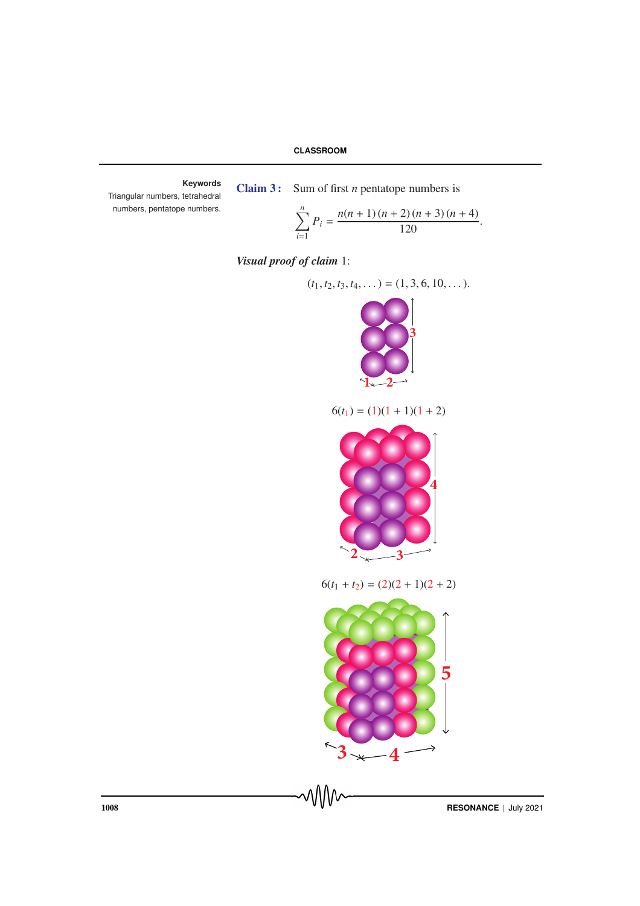**Keywords** Triangular numbers, tetrahedral numbers, pentatope numbers.

Claim 3 : Sum of first *n* pentatope numbers is

$$
\sum_{i=1}^{n} P_i = \frac{n(n+1)(n+2)(n+3)(n+4)}{120}.
$$

*Visual proof of claim* 1:



 $6(t_1 + t_2) = (2)(2 + 1)(2 + 2)$ 



1008 **RESONANCE** | July 2021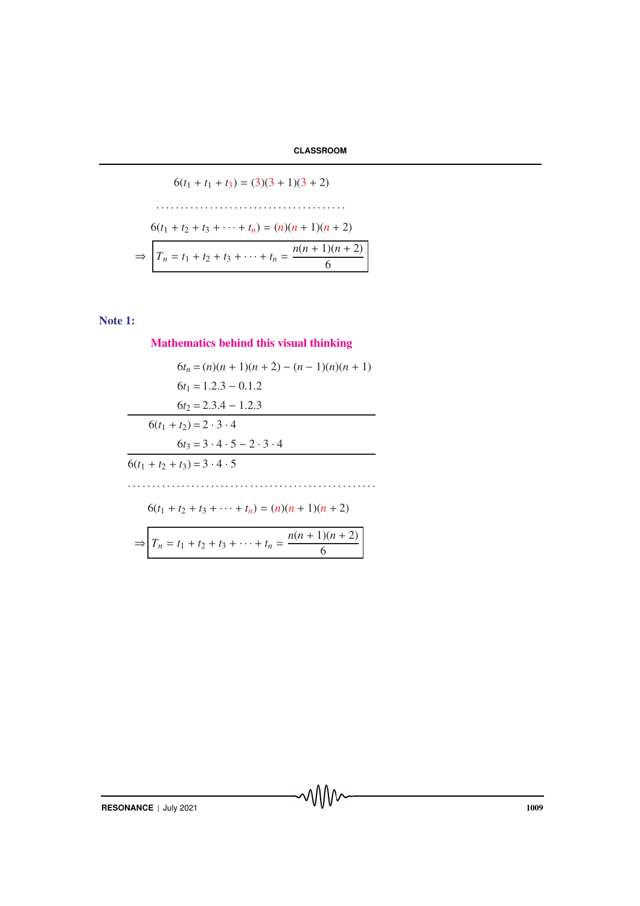$$
6(t_1 + t_1 + t_3) = (3)(3 + 1)(3 + 2)
$$
  
\n
$$
6(t_1 + t_2 + t_3 + \dots + t_n) = (n)(n + 1)(n + 2)
$$
  
\n
$$
\Rightarrow \boxed{T_n = t_1 + t_2 + t_3 + \dots + t_n = \frac{n(n + 1)(n + 2)}{6}}
$$

# Note 1:

Mathematics behind this visual thinking

$$
6t_n = (n)(n + 1)(n + 2) - (n - 1)(n)(n + 1)
$$
  
\n
$$
6t_1 = 1.2.3 - 0.1.2
$$
  
\n
$$
6t_2 = 2.3.4 - 1.2.3
$$
  
\n
$$
6(t_1 + t_2) = 2 \cdot 3 \cdot 4
$$
  
\n
$$
6t_3 = 3 \cdot 4 \cdot 5 - 2 \cdot 3 \cdot 4
$$
  
\n
$$
6(t_1 + t_2 + t_3) = 3 \cdot 4 \cdot 5
$$
  
\n
$$
6(t_1 + t_2 + t_3 + \dots + t_n) = (n)(n + 1)(n + 2)
$$
  
\n
$$
\Rightarrow T_n = t_1 + t_2 + t_3 + \dots + t_n = \frac{n(n + 1)(n + 2)}{6}
$$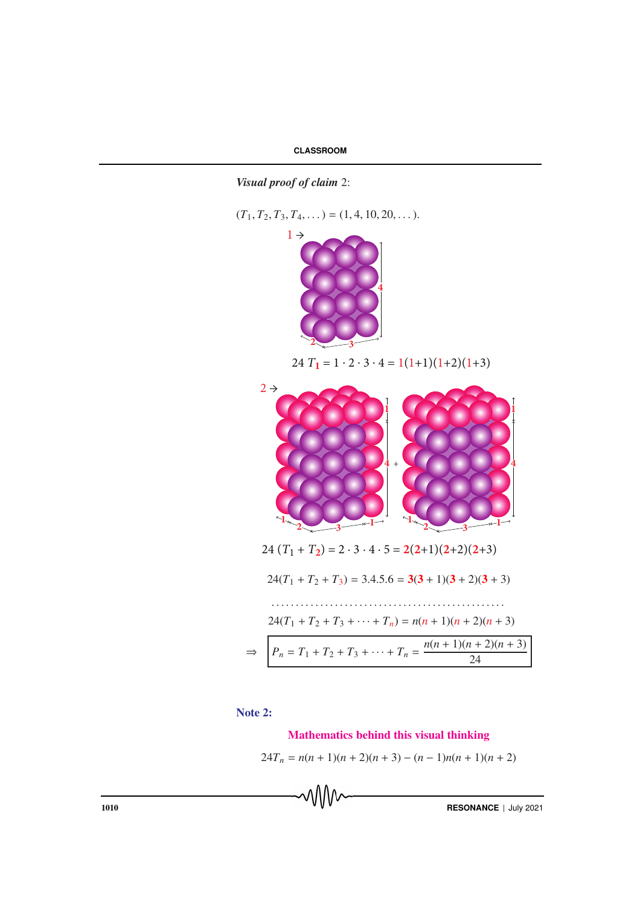*Visual proof of claim* 2:

 $(T_1, T_2, T_3, T_4, \dots) = (1, 4, 10, 20, \dots).$ 



24  $T_1 = 1 \cdot 2 \cdot 3 \cdot 4 = 1(1+1)(1+2)(1+3)$ 



Note 2:

## Mathematics behind this visual thinking

$$
24T_n = n(n + 1)(n + 2)(n + 3) - (n - 1)n(n + 1)(n + 2)
$$

**1010 RESONANCE** | July 2021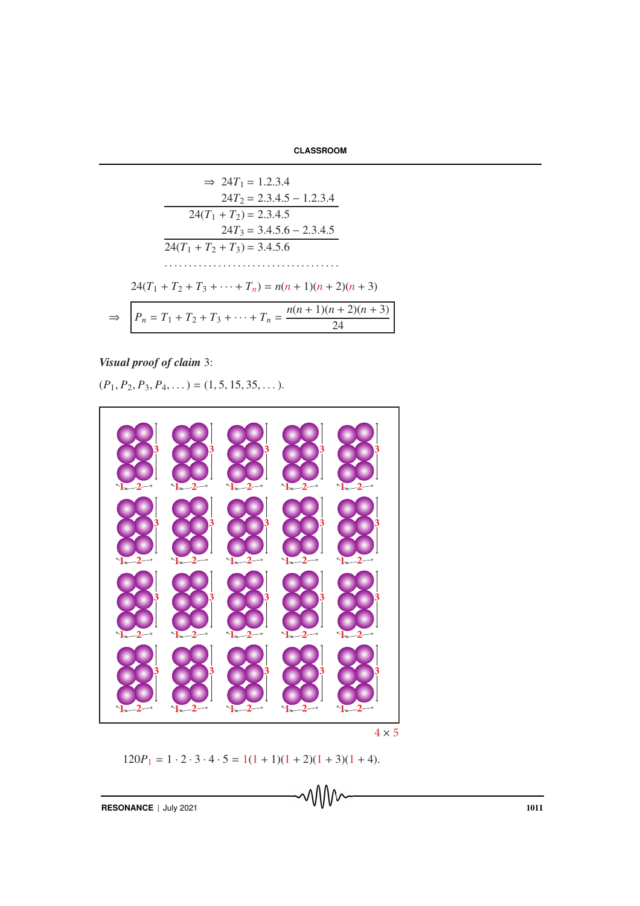| <b>CLASSROOM</b> |  |
|------------------|--|
|------------------|--|

$$
\Rightarrow 24T_1 = 1.2.3.4
$$
  
\n
$$
24T_2 = 2.3.4.5 - 1.2.3.4
$$
  
\n
$$
24(T_1 + T_2) = 2.3.4.5
$$
  
\n
$$
24T_3 = 3.4.5.6 - 2.3.4.5
$$
  
\n
$$
24(T_1 + T_2 + T_3) = 3.4.5.6
$$
  
\n
$$
\dots
$$
  
\n
$$
24(T_1 + T_2 + T_3 + \dots + T_n) = n(n + 1)(n + 2)(n + 3)
$$
  
\n
$$
\Rightarrow P_n = T_1 + T_2 + T_3 + \dots + T_n = \frac{n(n + 1)(n + 2)(n + 3)}{24}
$$

*Visual proof of claim* 3:

 $(P_1, P_2, P_3, P_4, \dots) = (1, 5, 15, 35, \dots).$ 



 $120P_1 = 1 \cdot 2 \cdot 3 \cdot 4 \cdot 5 = 1(1 + 1)(1 + 2)(1 + 3)(1 + 4).$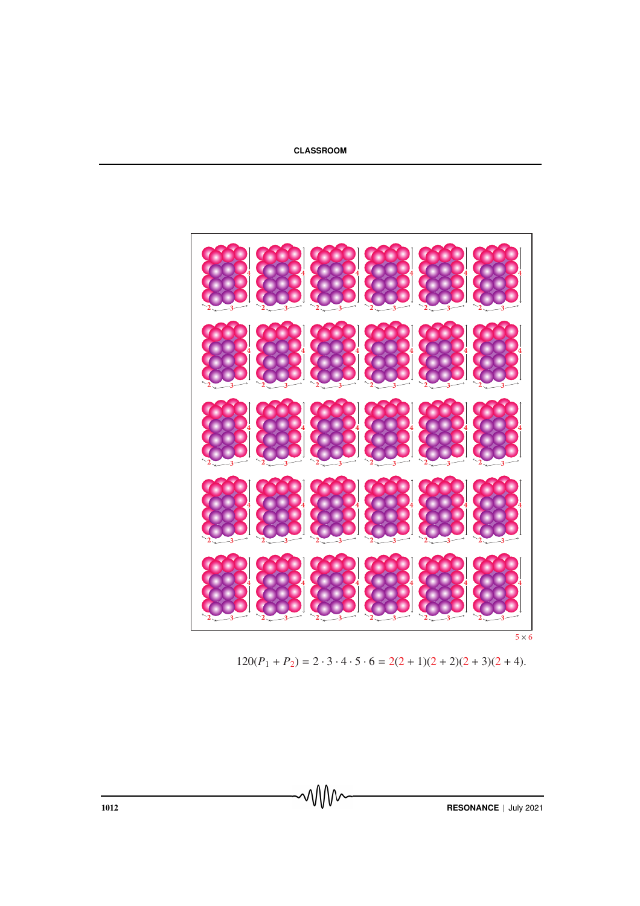

 $5 \times 6$ 

 $120(P_1 + P_2) = 2 \cdot 3 \cdot 4 \cdot 5 \cdot 6 = 2(2 + 1)(2 + 2)(2 + 3)(2 + 4).$